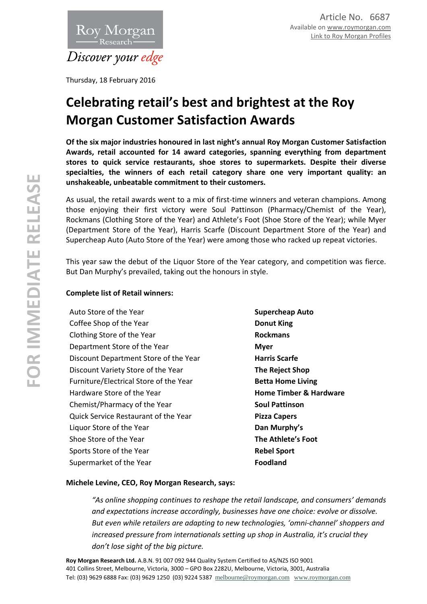

Thursday, 18 February 2016

# **Celebrating retail's best and brightest at the Roy Morgan Customer Satisfaction Awards**

**Of the six major industries honoured in last night's annual Roy Morgan Customer Satisfaction Awards, retail accounted for 14 award categories, spanning everything from department stores to quick service restaurants, shoe stores to supermarkets. Despite their diverse specialties, the winners of each retail category share one very important quality: an unshakeable, unbeatable commitment to their customers.**

As usual, the retail awards went to a mix of first-time winners and veteran champions. Among those enjoying their first victory were Soul Pattinson (Pharmacy/Chemist of the Year), Rockmans (Clothing Store of the Year) and Athlete's Foot (Shoe Store of the Year); while Myer (Department Store of the Year), Harris Scarfe (Discount Department Store of the Year) and Supercheap Auto (Auto Store of the Year) were among those who racked up repeat victories.

This year saw the debut of the Liquor Store of the Year category, and competition was fierce. But Dan Murphy's prevailed, taking out the honours in style.

## **Complete list of Retail winners:**

Auto Store of the Year **Supercheap Auto Supercheap Auto** Coffee Shop of the Year **Donut King** Clothing Store of the Year **Rockmans** Department Store of the Year **Myer** Discount Department Store of the Year **Harris Scarfe** Discount Variety Store of the Year **The Reject Shop** Furniture/Electrical Store of the Year **Betta Home Living** Hardware Store of the Year **Home Timber & Hardware** Chemist/Pharmacy of the Year **Soul Pattinson** Quick Service Restaurant of the Year **Pizza Capers** Liquor Store of the Year **Dan Murphy's** Shoe Store of the Year **The Athlete's Foot** Sports Store of the Year **Rebel Sport** Rebel Sport Supermarket of the Year **Foodland** 

#### **Michele Levine, CEO, Roy Morgan Research, says:**

*"As online shopping continues to reshape the retail landscape, and consumers' demands and expectations increase accordingly, businesses have one choice: evolve or dissolve. But even while retailers are adapting to new technologies, 'omni-channel' shoppers and increased pressure from internationals setting up shop in Australia, it's crucial they don't lose sight of the big picture.*